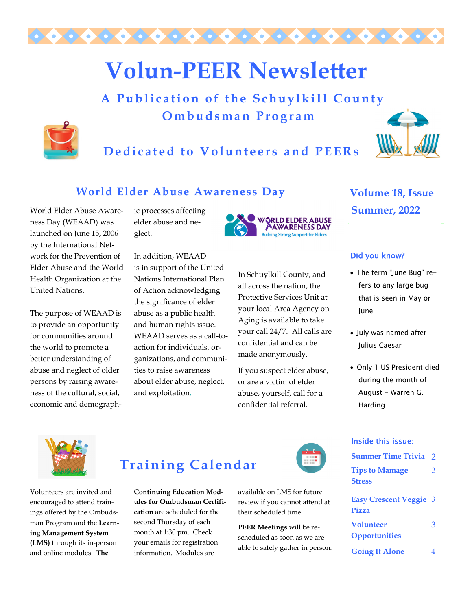

# **Volun-PEER Newsletter**

 **A Publication of the Schuylkill County Ombudsman Program** 



**Dedicated to Volunteers and PEERs** 



#### **World Elder Abuse Awareness Day**

World Elder Abuse Awareness Day (WEAAD) was launched on June 15, 2006 by the International Network for the Prevention of Elder Abuse and the World Health Organization at the United Nations.

The purpose of WEAAD is to provide an opportunity for communities around the world to promote a better understanding of abuse and neglect of older persons by raising awareness of the cultural, social, economic and demographic processes affecting elder abuse and neglect.

In addition, WEAAD is in support of the United Nations International Plan of Action acknowledging the significance of elder abuse as a public health and human rights issue. WEAAD serves as a call-toaction for individuals, organizations, and communities to raise awareness about elder abuse, neglect, and exploitation.



In Schuylkill County, and all across the nation, the Protective Services Unit at your local Area Agency on Aging is available to take your call 24/7. All calls are confidential and can be made anonymously.

If you suspect elder abuse, or are a victim of elder abuse, yourself, call for a confidential referral.

**Volume 18, Issue Summer, 2022** 

#### Did you know?

- The term "June Bug" refers to any large bug that is seen in May or June
- July was named after Julius Caesar
- Only 1 US President died during the month of August - Warren G. Harding



Volunteers are invited and encouraged to attend trainings offered by the Ombudsman Program and the **Learning Management System (LMS)** through its in-person and online modules. **The** 

### **Training Calendar**

**Continuing Education Modules for Ombudsman Certification** are scheduled for the second Thursday of each month at 1:30 pm. Check your emails for registration information. Modules are

available on LMS for future review if you cannot attend at their scheduled time.

**PEER Meetings** will be rescheduled as soon as we are able to safely gather in person.

#### Inside this issue:

| <b>Summer Time Trivia</b>                | $\mathcal{P}$ |
|------------------------------------------|---------------|
| <b>Tips to Mamage</b><br><b>Stress</b>   | 2             |
| <b>Easy Crescent Veggie 3</b><br>Pizza   |               |
| <b>Volunteer</b><br><b>Opportunities</b> | 3             |
| <b>Going It Alone</b>                    |               |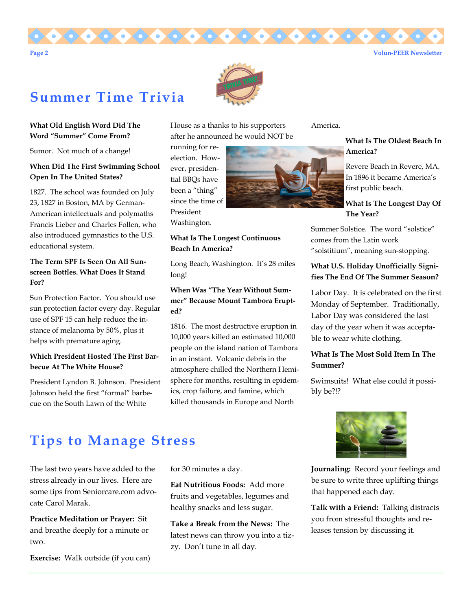



### **Summer Time Trivia**

#### **What Old English Word Did The Word "Summer" Come From?**

Sumor. Not much of a change!

#### **When Did The First Swimming School Open In The United States?**

1827. The school was founded on July 23, 1827 in Boston, MA by German-American intellectuals and polymaths Francis Lieber and Charles Follen, who also introduced gymnastics to the U.S. educational system.

#### **The Term SPF Is Seen On All Sunscreen Bottles. What Does It Stand For?**

Sun Protection Factor. You should use sun protection factor every day. Regular use of SPF 15 can help reduce the instance of melanoma by 50%, plus it helps with premature aging.

#### **Which President Hosted The First Barbecue At The White House?**

President Lyndon B. Johnson. President Johnson held the first "formal" barbecue on the South Lawn of the White

House as a thanks to his supporters after he announced he would NOT be

running for reelection. However, presidential BBQs have been a "thing" since the time of President Washington.

#### **What Is The Longest Continuous Beach In America?**

Long Beach, Washington. It's 28 miles long!

#### **When Was "The Year Without Summer" Because Mount Tambora Erupted?**

1816. The most destructive eruption in 10,000 years killed an estimated 10,000 people on the island nation of Tambora in an instant. Volcanic debris in the atmosphere chilled the Northern Hemisphere for months, resulting in epidemics, crop failure, and famine, which killed thousands in Europe and North

America.

#### **What Is The Oldest Beach In America?**

Revere Beach in Revere, MA. In 1896 it became America's first public beach.

#### **What Is The Longest Day Of The Year?**

Summer Solstice. The word "solstice" comes from the Latin work "solstitium", meaning sun-stopping.

#### **What U.S. Holiday Unofficially Signifies The End Of The Summer Season?**

Labor Day. It is celebrated on the first Monday of September. Traditionally, Labor Day was considered the last day of the year when it was acceptable to wear white clothing.

#### **What Is The Most Sold Item In The Summer?**

Swimsuits! What else could it possibly be?!?

### **Tips to Manage Stress**

The last two years have added to the stress already in our lives. Here are some tips from Seniorcare.com advocate Carol Marak.

**Practice Meditation or Prayer:** Sit and breathe deeply for a minute or two.

**Exercise:** Walk outside (if you can)

for 30 minutes a day.

**Eat Nutritious Foods:** Add more fruits and vegetables, legumes and healthy snacks and less sugar.

**Take a Break from the News:** The latest news can throw you into a tizzy. Don't tune in all day.



**Journaling:** Record your feelings and be sure to write three uplifting things that happened each day.

**Talk with a Friend:** Talking distracts you from stressful thoughts and releases tension by discussing it.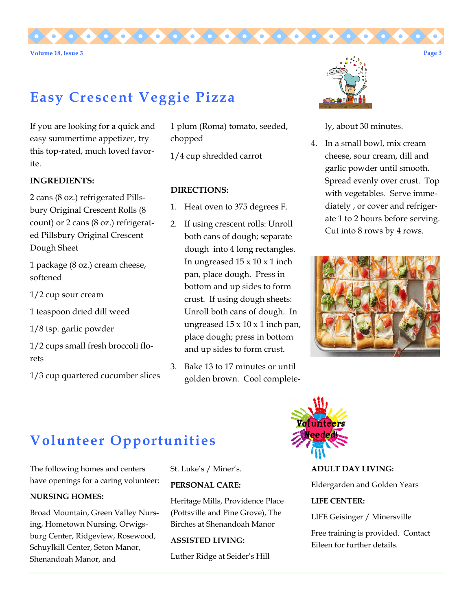

# **Easy Crescent Veggie Pizza**

If you are looking for a quick and easy summertime appetizer, try this top-rated, much loved favorite.

#### **INGREDIENTS:**

2 cans (8 oz.) refrigerated Pillsbury Original Crescent Rolls (8 count) or 2 cans (8 oz.) refrigerated Pillsbury Original Crescent Dough Sheet

1 package (8 oz.) cream cheese, softened

1/2 cup sour cream

1 teaspoon dried dill weed

1/8 tsp. garlic powder

1/2 cups small fresh broccoli florets

1/3 cup quartered cucumber slices

1 plum (Roma) tomato, seeded, chopped

1/4 cup shredded carrot

#### **DIRECTIONS:**

- 1. Heat oven to 375 degrees F.
- 2. If using crescent rolls: Unroll both cans of dough; separate dough into 4 long rectangles. In ungreased  $15 \times 10 \times 1$  inch pan, place dough. Press in bottom and up sides to form crust. If using dough sheets: Unroll both cans of dough. In ungreased  $15 \times 10 \times 1$  inch pan, place dough; press in bottom and up sides to form crust.
- 3. Bake 13 to 17 minutes or until golden brown. Cool complete-



ly, about 30 minutes.

4. In a small bowl, mix cream cheese, sour cream, dill and garlic powder until smooth. Spread evenly over crust. Top with vegetables. Serve immediately , or cover and refrigerate 1 to 2 hours before serving. Cut into 8 rows by 4 rows.



# **Volunteer Opportunities**

The following homes and centers have openings for a caring volunteer:

#### **NURSING HOMES:**

Broad Mountain, Green Valley Nursing, Hometown Nursing, Orwigsburg Center, Ridgeview, Rosewood, Schuylkill Center, Seton Manor, Shenandoah Manor, and

St. Luke's / Miner's.

#### **PERSONAL CARE:**

Heritage Mills, Providence Place (Pottsville and Pine Grove), The Birches at Shenandoah Manor

#### **ASSISTED LIVING:**

Luther Ridge at Seider's Hill



**ADULT DAY LIVING:** 

Eldergarden and Golden Years

#### **LIFE CENTER:**

LIFE Geisinger / Minersville

Free training is provided. Contact Eileen for further details.

**Page 3**